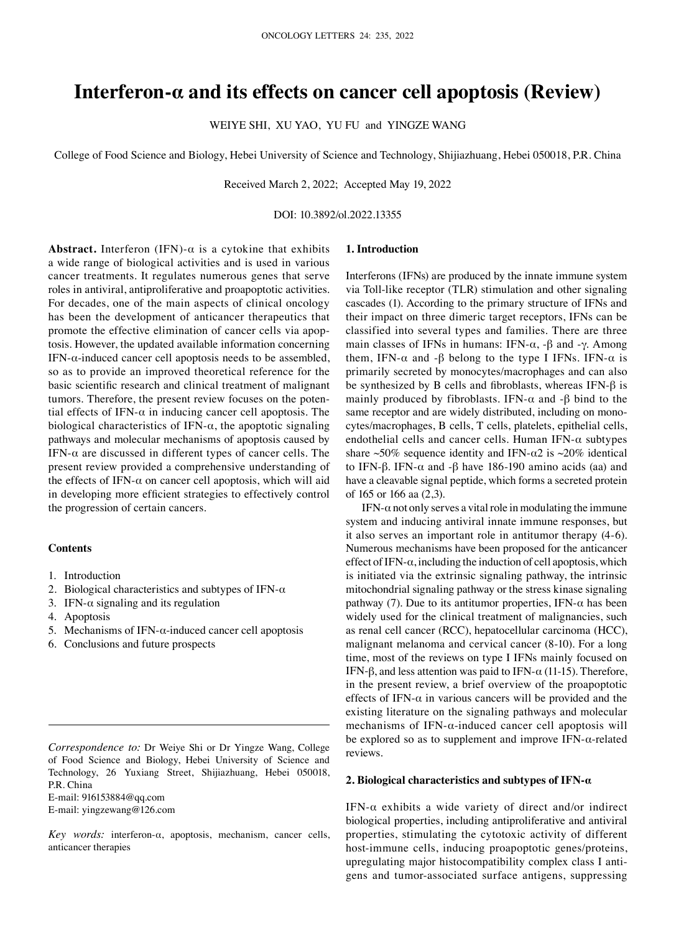# **Interferon‑α and its effects on cancer cell apoptosis (Review)**

WEIYE SHI, XU YAO, YU FU and YINGZE WANG

College of Food Science and Biology, Hebei University of Science and Technology, Shijiazhuang, Hebei 050018, P.R. China

Received March 2, 2022; Accepted May 19, 2022

DOI: 10.3892/ol.2022.13355

# **Abstract.** Interferon (IFN)- $\alpha$  is a cytokine that exhibits a wide range of biological activities and is used in various cancer treatments. It regulates numerous genes that serve roles in antiviral, antiproliferative and proapoptotic activities. For decades, one of the main aspects of clinical oncology has been the development of anticancer therapeutics that promote the effective elimination of cancer cells via apoptosis. However, the updated available information concerning IFN- $\alpha$ -induced cancer cell apoptosis needs to be assembled, so as to provide an improved theoretical reference for the basic scientific research and clinical treatment of malignant tumors. Therefore, the present review focuses on the potential effects of IFN- $\alpha$  in inducing cancer cell apoptosis. The biological characteristics of IFN- $\alpha$ , the apoptotic signaling pathways and molecular mechanisms of apoptosis caused by IFN- $\alpha$  are discussed in different types of cancer cells. The present review provided a comprehensive understanding of the effects of IFN- $\alpha$  on cancer cell apoptosis, which will aid in developing more efficient strategies to effectively control the progression of certain cancers.

#### **Contents**

- 1. Introduction
- 2. Biological characteristics and subtypes of IFN- $\alpha$
- 3. IFN- $\alpha$  signaling and its regulation
- 4. Apoptosis
- 5. Mechanisms of IFN- $\alpha$ -induced cancer cell apoptosis
- 6. Conclusions and future prospects

E‑mail: 916153884@qq.com

E‑mail: yingzewang@126.com

*Key words:* interferon‑α, apoptosis, mechanism, cancer cells, anticancer therapies

#### **1. Introduction**

Interferons (IFNs) are produced by the innate immune system via Toll-like receptor (TLR) stimulation and other signaling cascades (1). According to the primary structure of IFNs and their impact on three dimeric target receptors, IFNs can be classified into several types and families. There are three main classes of IFNs in humans: IFN- $\alpha$ , - $\beta$  and - $\gamma$ . Among them, IFN- $\alpha$  and - $\beta$  belong to the type I IFNs. IFN- $\alpha$  is primarily secreted by monocytes/macrophages and can also be synthesized by B cells and fibroblasts, whereas IFN‑β is mainly produced by fibroblasts. IFN- $\alpha$  and - $\beta$  bind to the same receptor and are widely distributed, including on monocytes/macrophages, B cells, T cells, platelets, epithelial cells, endothelial cells and cancer cells. Human IFN- $\alpha$  subtypes share ~50% sequence identity and IFN- $\alpha$ 2 is ~20% identical to IFN-β. IFN- $\alpha$  and -β have 186-190 amino acids (aa) and have a cleavable signal peptide, which forms a secreted protein of 165 or 166 aa (2,3).

IFN- $\alpha$  not only serves a vital role in modulating the immune system and inducing antiviral innate immune responses, but it also serves an important role in antitumor therapy (4‑6). Numerous mechanisms have been proposed for the anticancer effect of IFN- $\alpha$ , including the induction of cell apoptosis, which is initiated via the extrinsic signaling pathway, the intrinsic mitochondrial signaling pathway or the stress kinase signaling pathway (7). Due to its antitumor properties, IFN- $\alpha$  has been widely used for the clinical treatment of malignancies, such as renal cell cancer (RCC), hepatocellular carcinoma (HCC), malignant melanoma and cervical cancer (8‑10). For a long time, most of the reviews on type I IFNs mainly focused on IFN-β, and less attention was paid to IFN- $\alpha$  (11-15). Therefore, in the present review, a brief overview of the proapoptotic effects of IFN- $\alpha$  in various cancers will be provided and the existing literature on the signaling pathways and molecular mechanisms of IFN- $\alpha$ -induced cancer cell apoptosis will be explored so as to supplement and improve IFN- $\alpha$ -related reviews.

# **2. Biological characteristics and subtypes of IFN‑α**

IFN- $\alpha$  exhibits a wide variety of direct and/or indirect biological properties, including antiproliferative and antiviral properties, stimulating the cytotoxic activity of different host-immune cells, inducing proapoptotic genes/proteins, upregulating major histocompatibility complex class I antigens and tumor‑associated surface antigens, suppressing

*Correspondence to:* Dr Weiye Shi or Dr Yingze Wang, College of Food Science and Biology, Hebei University of Science and Technology, 26 Yuxiang Street, Shijiazhuang, Hebei 050018, P.R. China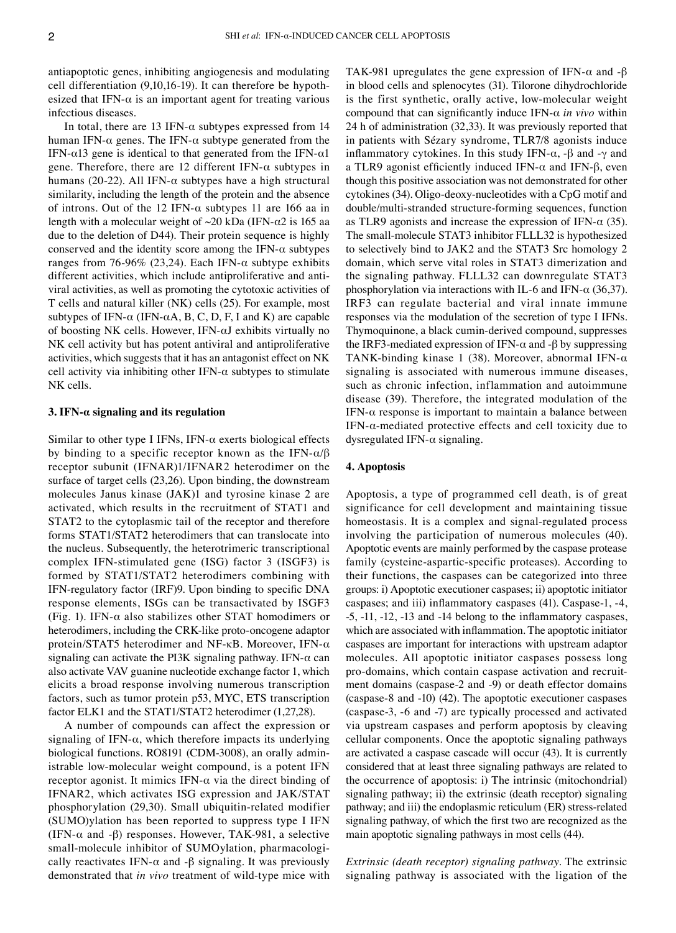antiapoptotic genes, inhibiting angiogenesis and modulating cell differentiation (9,10,16-19). It can therefore be hypothesized that IFN- $\alpha$  is an important agent for treating various infectious diseases.

In total, there are 13 IFN- $\alpha$  subtypes expressed from 14 human IFN- $\alpha$  genes. The IFN- $\alpha$  subtype generated from the IFN- $\alpha$ 13 gene is identical to that generated from the IFN- $\alpha$ 1 gene. Therefore, there are 12 different IFN- $\alpha$  subtypes in humans (20-22). All IFN- $\alpha$  subtypes have a high structural similarity, including the length of the protein and the absence of introns. Out of the 12 IFN- $\alpha$  subtypes 11 are 166 aa in length with a molecular weight of  $\sim$ 20 kDa (IFN- $\alpha$ 2 is 165 aa due to the deletion of D44). Their protein sequence is highly conserved and the identity score among the IFN- $\alpha$  subtypes ranges from 76-96% (23,24). Each IFN- $\alpha$  subtype exhibits different activities, which include antiproliferative and antiviral activities, as well as promoting the cytotoxic activities of T cells and natural killer (NK) cells (25). For example, most subtypes of IFN- $\alpha$  (IFN- $\alpha$ A, B, C, D, F, I and K) are capable of boosting NK cells. However, IFN‑αJ exhibits virtually no NK cell activity but has potent antiviral and antiproliferative activities, which suggests that it has an antagonist effect on NK cell activity via inhibiting other IFN- $\alpha$  subtypes to stimulate NK cells.

# **3. IFN‑α signaling and its regulation**

Similar to other type I IFNs, IFN- $\alpha$  exerts biological effects by binding to a specific receptor known as the IFN- $\alpha/\beta$ receptor subunit (IFNAR)1/IFNAR2 heterodimer on the surface of target cells (23,26). Upon binding, the downstream molecules Janus kinase (JAK)1 and tyrosine kinase 2 are activated, which results in the recruitment of STAT1 and STAT2 to the cytoplasmic tail of the receptor and therefore forms STAT1/STAT2 heterodimers that can translocate into the nucleus. Subsequently, the heterotrimeric transcriptional complex IFN‑stimulated gene (ISG) factor 3 (ISGF3) is formed by STAT1/STAT2 heterodimers combining with IFN‑regulatory factor (IRF)9. Upon binding to specific DNA response elements, ISGs can be transactivated by ISGF3 (Fig. 1). IFN‑α also stabilizes other STAT homodimers or heterodimers, including the CRK-like proto-oncogene adaptor protein/STAT5 heterodimer and NF‑κB. Moreover, IFN‑α signaling can activate the PI3K signaling pathway. IFN- $\alpha$  can also activate VAV guanine nucleotide exchange factor 1, which elicits a broad response involving numerous transcription factors, such as tumor protein p53, MYC, ETS transcription factor ELK1 and the STAT1/STAT2 heterodimer (1,27,28).

A number of compounds can affect the expression or signaling of IFN- $\alpha$ , which therefore impacts its underlying biological functions. RO8191 (CDM-3008), an orally administrable low‑molecular weight compound, is a potent IFN receptor agonist. It mimics IFN- $α$  via the direct binding of IFNAR2, which activates ISG expression and JAK/STAT phosphorylation (29,30). Small ubiquitin‑related modifier (SUMO)ylation has been reported to suppress type I IFN (IFN- $\alpha$  and - $\beta$ ) responses. However, TAK-981, a selective small-molecule inhibitor of SUMOylation, pharmacologically reactivates IFN- $\alpha$  and - $\beta$  signaling. It was previously demonstrated that *in vivo* treatment of wild‑type mice with TAK-981 upregulates the gene expression of IFN- $\alpha$  and - $\beta$ in blood cells and splenocytes (31). Tilorone dihydrochloride is the first synthetic, orally active, low-molecular weight compound that can significantly induce IFN‑α *in vivo* within 24 h of administration (32,33). It was previously reported that in patients with Sézary syndrome, TLR7/8 agonists induce inflammatory cytokines. In this study IFN‑α, ‑β and ‑γ and a TLR9 agonist efficiently induced IFN- $α$  and IFN- $β$ , even though this positive association was not demonstrated for other cytokines (34). Oligo‑deoxy‑nucleotides with a CpG motif and double/multi‑stranded structure‑forming sequences, function as TLR9 agonists and increase the expression of IFN- $\alpha$  (35). The small-molecule STAT3 inhibitor FLLL32 is hypothesized to selectively bind to JAK2 and the STAT3 Src homology 2 domain, which serve vital roles in STAT3 dimerization and the signaling pathway. FLLL32 can downregulate STAT3 phosphorylation via interactions with IL-6 and IFN- $\alpha$  (36,37). IRF3 can regulate bacterial and viral innate immune responses via the modulation of the secretion of type I IFNs. Thymoquinone, a black cumin‑derived compound, suppresses the IRF3-mediated expression of IFN- $\alpha$  and -β by suppressing TANK-binding kinase 1 (38). Moreover, abnormal IFN- $\alpha$ signaling is associated with numerous immune diseases, such as chronic infection, inflammation and autoimmune disease (39). Therefore, the integrated modulation of the IFN- $\alpha$  response is important to maintain a balance between IFN- $\alpha$ -mediated protective effects and cell toxicity due to dysregulated IFN- $\alpha$  signaling.

#### **4. Apoptosis**

Apoptosis, a type of programmed cell death, is of great significance for cell development and maintaining tissue homeostasis. It is a complex and signal-regulated process involving the participation of numerous molecules (40). Apoptotic events are mainly performed by the caspase protease family (cysteine-aspartic-specific proteases). According to their functions, the caspases can be categorized into three groups: i) Apoptotic executioner caspases; ii) apoptotic initiator caspases; and iii) inflammatory caspases (41). Caspase‑1, ‑4, ‑5, ‑11, ‑12, ‑13 and ‑14 belong to the inflammatory caspases, which are associated with inflammation. The apoptotic initiator caspases are important for interactions with upstream adaptor molecules. All apoptotic initiator caspases possess long pro-domains, which contain caspase activation and recruitment domains (caspase-2 and -9) or death effector domains (caspase‑8 and ‑10) (42). The apoptotic executioner caspases (caspase‑3, ‑6 and ‑7) are typically processed and activated via upstream caspases and perform apoptosis by cleaving cellular components. Once the apoptotic signaling pathways are activated a caspase cascade will occur (43). It is currently considered that at least three signaling pathways are related to the occurrence of apoptosis: i) The intrinsic (mitochondrial) signaling pathway; ii) the extrinsic (death receptor) signaling pathway; and iii) the endoplasmic reticulum (ER) stress‑related signaling pathway, of which the first two are recognized as the main apoptotic signaling pathways in most cells (44).

*Extrinsic (death receptor) signaling pathway.* The extrinsic signaling pathway is associated with the ligation of the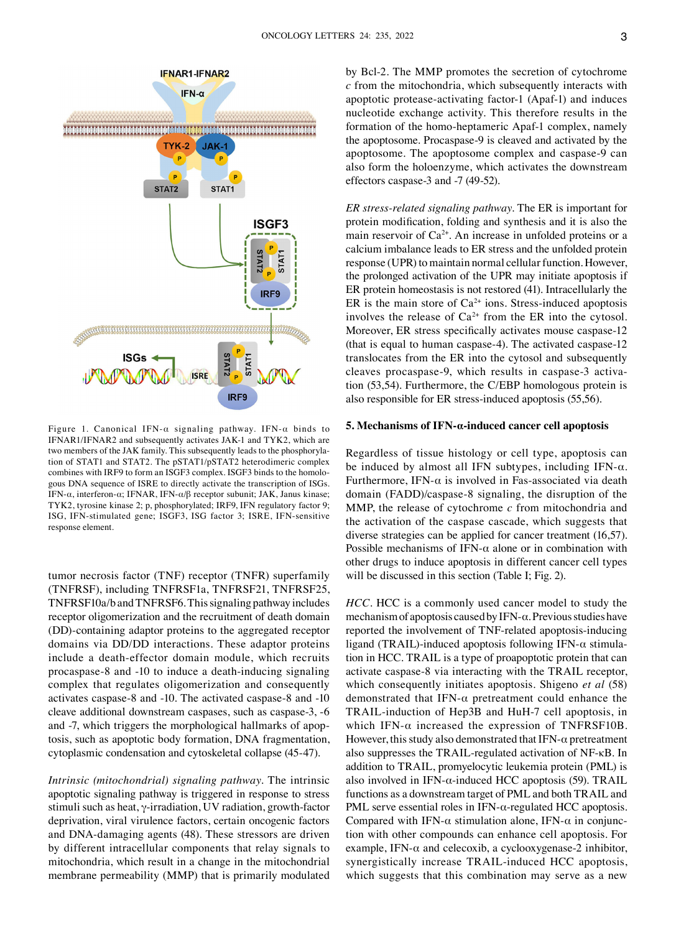

Figure 1. Canonical IFN‑α signaling pathway. IFN‑α binds to IFNAR1/IFNAR2 and subsequently activates JAK‑1 and TYK2, which are two members of the JAK family. This subsequently leads to the phosphorylation of STAT1 and STAT2. The pSTAT1/pSTAT2 heterodimeric complex combines with IRF9 to form an ISGF3 complex. ISGF3 binds to the homologous DNA sequence of ISRE to directly activate the transcription of ISGs. IFN- $\alpha$ , interferon- $\alpha$ ; IFNAR, IFN- $\alpha$ /β receptor subunit; JAK, Janus kinase; TYK2, tyrosine kinase 2; p, phosphorylated; IRF9, IFN regulatory factor 9; ISG, IFN‑stimulated gene; ISGF3, ISG factor 3; ISRE, IFN‑sensitive response element.

tumor necrosis factor (TNF) receptor (TNFR) superfamily (TNFRSF), including TNFRSF1a, TNFRSF21, TNFRSF25, TNFRSF10a/b and TNFRSF6. This signaling pathway includes receptor oligomerization and the recruitment of death domain (DD)‑containing adaptor proteins to the aggregated receptor domains via DD/DD interactions. These adaptor proteins include a death‑effector domain module, which recruits procaspase‑8 and ‑10 to induce a death‑inducing signaling complex that regulates oligomerization and consequently activates caspase‑8 and ‑10. The activated caspase‑8 and ‑10 cleave additional downstream caspases, such as caspase‑3, ‑6 and  $-7$ , which triggers the morphological hallmarks of apoptosis, such as apoptotic body formation, DNA fragmentation, cytoplasmic condensation and cytoskeletal collapse (45‑47).

*Intrinsic (mitochondrial) signaling pathway.* The intrinsic apoptotic signaling pathway is triggered in response to stress stimuli such as heat,  $\gamma$ -irradiation, UV radiation, growth-factor deprivation, viral virulence factors, certain oncogenic factors and DNA‑damaging agents (48). These stressors are driven by different intracellular components that relay signals to mitochondria, which result in a change in the mitochondrial membrane permeability (MMP) that is primarily modulated by Bcl-2. The MMP promotes the secretion of cytochrome *c* from the mitochondria, which subsequently interacts with apoptotic protease-activating factor-1 (Apaf-1) and induces nucleotide exchange activity. This therefore results in the formation of the homo-heptameric Apaf-1 complex, namely the apoptosome. Procaspase‑9 is cleaved and activated by the apoptosome. The apoptosome complex and caspase‑9 can also form the holoenzyme, which activates the downstream effectors caspase‑3 and ‑7 (49‑52).

*ER stress‑related signaling pathway.* The ER is important for protein modification, folding and synthesis and it is also the main reservoir of  $Ca^{2+}$ . An increase in unfolded proteins or a calcium imbalance leads to ER stress and the unfolded protein response (UPR) to maintain normal cellular function. However, the prolonged activation of the UPR may initiate apoptosis if ER protein homeostasis is not restored (41). Intracellularly the ER is the main store of  $Ca^{2+}$  ions. Stress-induced apoptosis involves the release of  $Ca^{2+}$  from the ER into the cytosol. Moreover, ER stress specifically activates mouse caspase-12 (that is equal to human caspase‑4). The activated caspase‑12 translocates from the ER into the cytosol and subsequently cleaves procaspase‑9, which results in caspase‑3 activa‑ tion (53,54). Furthermore, the C/EBP homologous protein is also responsible for ER stress‑induced apoptosis (55,56).

#### **5. Mechanisms of IFN‑α‑induced cancer cell apoptosis**

Regardless of tissue histology or cell type, apoptosis can be induced by almost all IFN subtypes, including IFN- $\alpha$ . Furthermore, IFN- $\alpha$  is involved in Fas-associated via death domain (FADD)/caspase‑8 signaling, the disruption of the MMP, the release of cytochrome *c* from mitochondria and the activation of the caspase cascade, which suggests that diverse strategies can be applied for cancer treatment (16,57). Possible mechanisms of IFN- $\alpha$  alone or in combination with other drugs to induce apoptosis in different cancer cell types will be discussed in this section (Table I; Fig. 2).

*HCC*. HCC is a commonly used cancer model to study the mechanism of apoptosis caused by IFN‑α. Previous studies have reported the involvement of TNF‑related apoptosis‑inducing ligand (TRAIL)-induced apoptosis following IFN- $\alpha$  stimulation in HCC. TRAIL is a type of proapoptotic protein that can activate caspase‑8 via interacting with the TRAIL receptor, which consequently initiates apoptosis. Shigeno *et al* (58) demonstrated that IFN‑α pretreatment could enhance the TRAIL‑induction of Hep3B and HuH‑7 cell apoptosis, in which IFN- $\alpha$  increased the expression of TNFRSF10B. However, this study also demonstrated that IFN- $\alpha$  pretreatment also suppresses the TRAIL‑regulated activation of NF‑κB. In addition to TRAIL, promyelocytic leukemia protein (PML) is also involved in IFN- $\alpha$ -induced HCC apoptosis (59). TRAIL functions as a downstream target of PML and both TRAIL and PML serve essential roles in IFN- $α$ -regulated HCC apoptosis. Compared with IFN- $\alpha$  stimulation alone, IFN- $\alpha$  in conjunction with other compounds can enhance cell apoptosis. For example, IFN- $\alpha$  and celecoxib, a cyclooxygenase-2 inhibitor, synergistically increase TRAIL‑induced HCC apoptosis, which suggests that this combination may serve as a new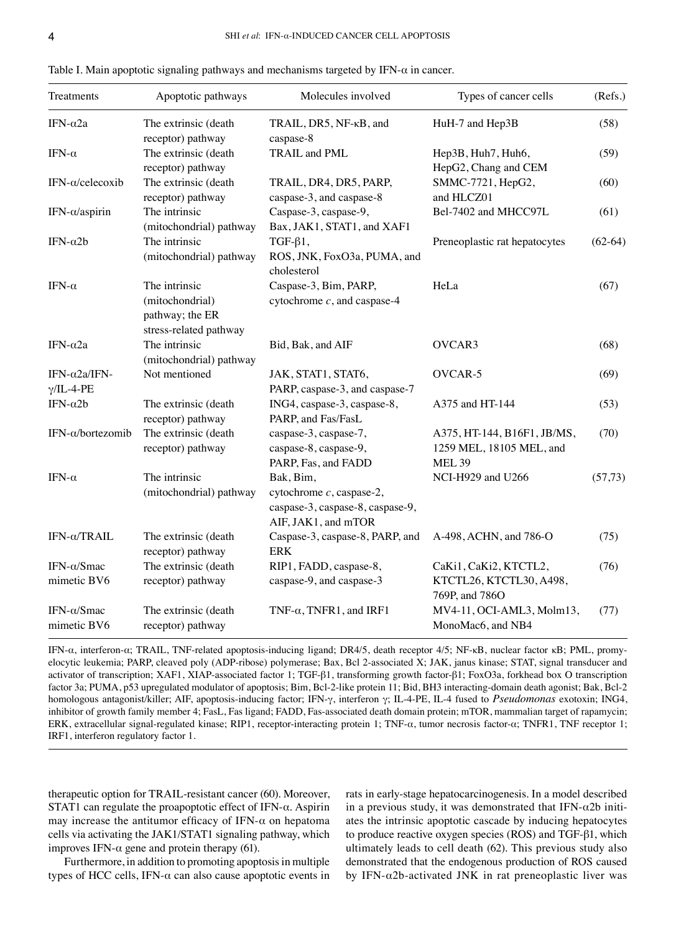| Treatments                                 | Apoptotic pathways                                                            | Molecules involved                                                                                  | Types of cancer cells                                                    | (Refs.)   |
|--------------------------------------------|-------------------------------------------------------------------------------|-----------------------------------------------------------------------------------------------------|--------------------------------------------------------------------------|-----------|
| IFN- $\alpha$ 2a                           | The extrinsic (death<br>receptor) pathway                                     | TRAIL, DR5, NF-KB, and<br>caspase-8                                                                 | HuH-7 and Hep3B                                                          | (58)      |
| IFN- $\alpha$                              | The extrinsic (death<br>receptor) pathway                                     | TRAIL and PML                                                                                       | Hep3B, Huh7, Huh6,<br>HepG2, Chang and CEM                               | (59)      |
| IFN- $\alpha$ /celecoxib                   | The extrinsic (death<br>receptor) pathway                                     | TRAIL, DR4, DR5, PARP,<br>caspase-3, and caspase-8                                                  | SMMC-7721, HepG2,<br>and HLCZ01                                          | (60)      |
| IFN- $\alpha$ /aspirin                     | The intrinsic<br>(mitochondrial) pathway                                      | Caspase-3, caspase-9,<br>Bax, JAK1, STAT1, and XAF1                                                 | Bel-7402 and MHCC97L                                                     | (61)      |
| IFN- $\alpha$ 2b                           | The intrinsic<br>(mitochondrial) pathway                                      | $TGF-\beta1,$<br>ROS, JNK, FoxO3a, PUMA, and<br>cholesterol                                         | Preneoplastic rat hepatocytes                                            | $(62-64)$ |
| IFN- $\alpha$                              | The intrinsic<br>(mitochondrial)<br>pathway; the ER<br>stress-related pathway | Caspase-3, Bim, PARP,<br>cytochrome $c$ , and caspase-4                                             | HeLa                                                                     | (67)      |
| IFN- $\alpha$ 2a                           | The intrinsic<br>(mitochondrial) pathway                                      | Bid, Bak, and AIF                                                                                   | OVCAR3                                                                   | (68)      |
| IFN- $\alpha$ 2a/IFN-<br>$\gamma$ /IL-4-PE | Not mentioned                                                                 | JAK, STAT1, STAT6,<br>PARP, caspase-3, and caspase-7                                                | OVCAR-5                                                                  | (69)      |
| IFN- $\alpha$ 2b                           | The extrinsic (death<br>receptor) pathway                                     | ING4, caspase-3, caspase-8,<br>PARP, and Fas/FasL                                                   | A375 and HT-144                                                          | (53)      |
| IFN-α/bortezomib                           | The extrinsic (death<br>receptor) pathway                                     | caspase-3, caspase-7,<br>caspase-8, caspase-9,<br>PARP, Fas, and FADD                               | A375, HT-144, B16F1, JB/MS,<br>1259 MEL, 18105 MEL, and<br><b>MEL 39</b> | (70)      |
| IFN- $\alpha$                              | The intrinsic<br>(mitochondrial) pathway                                      | Bak, Bim,<br>cytochrome $c$ , caspase-2,<br>caspase-3, caspase-8, caspase-9,<br>AIF, JAK1, and mTOR | NCI-H929 and U266                                                        | (57, 73)  |
| IFN- $\alpha$ /TRAIL                       | The extrinsic (death<br>receptor) pathway                                     | Caspase-3, caspase-8, PARP, and<br><b>ERK</b>                                                       | A-498, ACHN, and 786-O                                                   | (75)      |
| IFN-α/Smac<br>mimetic BV6                  | The extrinsic (death<br>receptor) pathway                                     | RIP1, FADD, caspase-8,<br>caspase-9, and caspase-3                                                  | CaKi1, CaKi2, KTCTL2,<br>KTCTL26, KTCTL30, A498,<br>769P, and 786O       | (76)      |
| IFN- $\alpha$ /Smac<br>mimetic BV6         | The extrinsic (death<br>receptor) pathway                                     | TNF- $\alpha$ , TNFR1, and IRF1                                                                     | MV4-11, OCI-AML3, Molm13,<br>MonoMac6, and NB4                           | (77)      |

Table I. Main apoptotic signaling pathways and mechanisms targeted by IFN- $\alpha$  in cancer.

IFN-α, interferon-α; TRAIL, TNF-related apoptosis-inducing ligand; DR4/5, death receptor 4/5; NF-κB, nuclear factor κB; PML, promyelocytic leukemia; PARP, cleaved poly (ADP-ribose) polymerase; Bax, Bcl 2-associated X; JAK, janus kinase; STAT, signal transducer and activator of transcription; XAF1, XIAP‑associated factor 1; TGF‑β1, transforming growth factor‑β1; FoxO3a, forkhead box O transcription factor 3a; PUMA, p53 upregulated modulator of apoptosis; Bim, Bcl-2-like protein 11; Bid, BH3 interacting-domain death agonist; Bak, Bcl-2 homologous antagonist/killer; AIF, apoptosis‑inducing factor; IFN‑γ, interferon γ; IL‑4‑PE, IL‑4 fused to *Pseudomonas* exotoxin; ING4, inhibitor of growth family member 4; FasL, Fas ligand; FADD, Fas-associated death domain protein; mTOR, mammalian target of rapamycin; ERK, extracellular signal-regulated kinase; RIP1, receptor-interacting protein 1; TNF-α, tumor necrosis factor-α; TNFR1, TNF receptor 1; IRF1, interferon regulatory factor 1.

therapeutic option for TRAIL‑resistant cancer (60). Moreover, STAT1 can regulate the proapoptotic effect of IFN‑α. Aspirin may increase the antitumor efficacy of IFN- $\alpha$  on hepatoma cells via activating the JAK1/STAT1 signaling pathway, which improves IFN- $α$  gene and protein therapy (61).

Furthermore, in addition to promoting apoptosis in multiple types of HCC cells, IFN- $\alpha$  can also cause apoptotic events in rats in early‑stage hepatocarcinogenesis. In a model described in a previous study, it was demonstrated that IFN- $\alpha$ 2b initiates the intrinsic apoptotic cascade by inducing hepatocytes to produce reactive oxygen species (ROS) and TGF‑β1, which ultimately leads to cell death (62). This previous study also demonstrated that the endogenous production of ROS caused by IFN- $\alpha$ 2b-activated JNK in rat preneoplastic liver was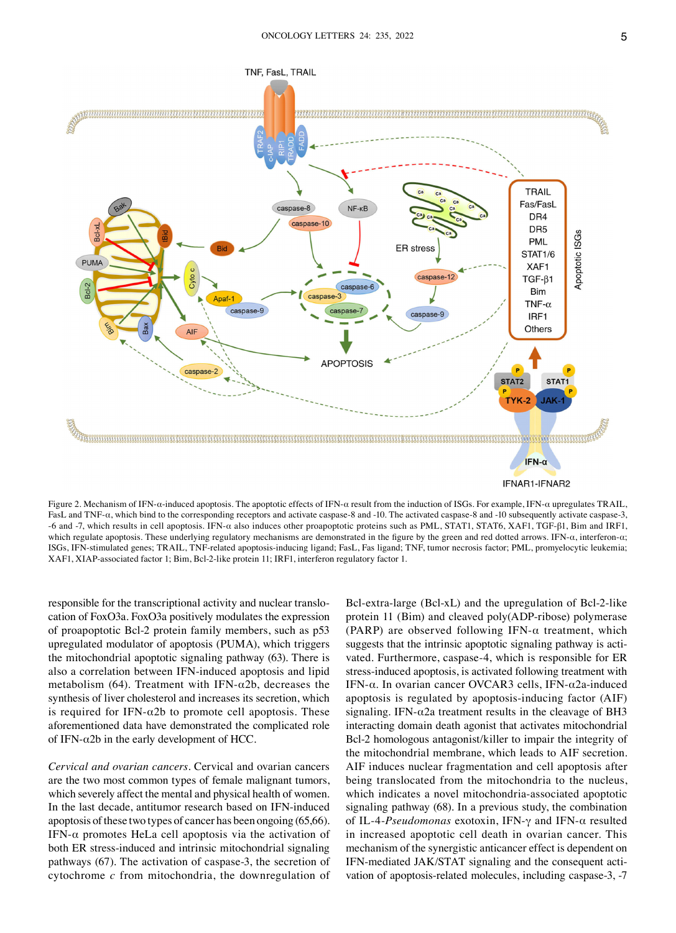

Figure 2. Mechanism of IFN‑α‑induced apoptosis. The apoptotic effects of IFN‑α result from the induction of ISGs. For example, IFN‑α upregulates TRAIL, FasL and TNF-α, which bind to the corresponding receptors and activate caspase-8 and -10. The activated caspase-8 and -10 subsequently activate caspase-3, ‑6 and ‑7, which results in cell apoptosis. IFN‑α also induces other proapoptotic proteins such as PML, STAT1, STAT6, XAF1, TGF‑β1, Bim and IRF1, which regulate apoptosis. These underlying regulatory mechanisms are demonstrated in the figure by the green and red dotted arrows. IFN-α, interferon-α; ISGs, IFN‑stimulated genes; TRAIL, TNF‑related apoptosis‑inducing ligand; FasL, Fas ligand; TNF, tumor necrosis factor; PML, promyelocytic leukemia; XAF1, XIAP‑associated factor 1; Bim, Bcl‑2‑like protein 11; IRF1, interferon regulatory factor 1.

responsible for the transcriptional activity and nuclear translocation of FoxO3a. FoxO3a positively modulates the expression of proapoptotic Bcl-2 protein family members, such as p53 upregulated modulator of apoptosis (PUMA), which triggers the mitochondrial apoptotic signaling pathway (63). There is also a correlation between IFN‑induced apoptosis and lipid metabolism (64). Treatment with IFN- $\alpha$ 2b, decreases the synthesis of liver cholesterol and increases its secretion, which is required for IFN- $\alpha$ 2b to promote cell apoptosis. These aforementioned data have demonstrated the complicated role of IFN- $\alpha$ 2b in the early development of HCC.

*Cervical and ovarian cancers.* Cervical and ovarian cancers are the two most common types of female malignant tumors, which severely affect the mental and physical health of women. In the last decade, antitumor research based on IFN‑induced apoptosis of these two types of cancer has been ongoing (65,66). IFN- $\alpha$  promotes HeLa cell apoptosis via the activation of both ER stress‑induced and intrinsic mitochondrial signaling pathways (67). The activation of caspase‑3, the secretion of cytochrome *c* from mitochondria, the downregulation of Bcl–extra–large (Bcl–xL) and the upregulation of Bcl–2–like protein 11 (Bim) and cleaved poly(ADP-ribose) polymerase (PARP) are observed following IFN- $\alpha$  treatment, which suggests that the intrinsic apoptotic signaling pathway is activated. Furthermore, caspase-4, which is responsible for ER stress‑induced apoptosis, is activated following treatment with IFN- $\alpha$ . In ovarian cancer OVCAR3 cells, IFN- $\alpha$ 2a-induced apoptosis is regulated by apoptosis‑inducing factor (AIF) signaling. IFN- $\alpha$ 2a treatment results in the cleavage of BH3 interacting domain death agonist that activates mitochondrial Bcl-2 homologous antagonist/killer to impair the integrity of the mitochondrial membrane, which leads to AIF secretion. AIF induces nuclear fragmentation and cell apoptosis after being translocated from the mitochondria to the nucleus, which indicates a novel mitochondria‑associated apoptotic signaling pathway (68). In a previous study, the combination of IL‑4‑*Pseudomonas* exotoxin, IFN‑γ and IFN‑α resulted in increased apoptotic cell death in ovarian cancer. This mechanism of the synergistic anticancer effect is dependent on IFN-mediated JAK/STAT signaling and the consequent activation of apoptosis-related molecules, including caspase-3, -7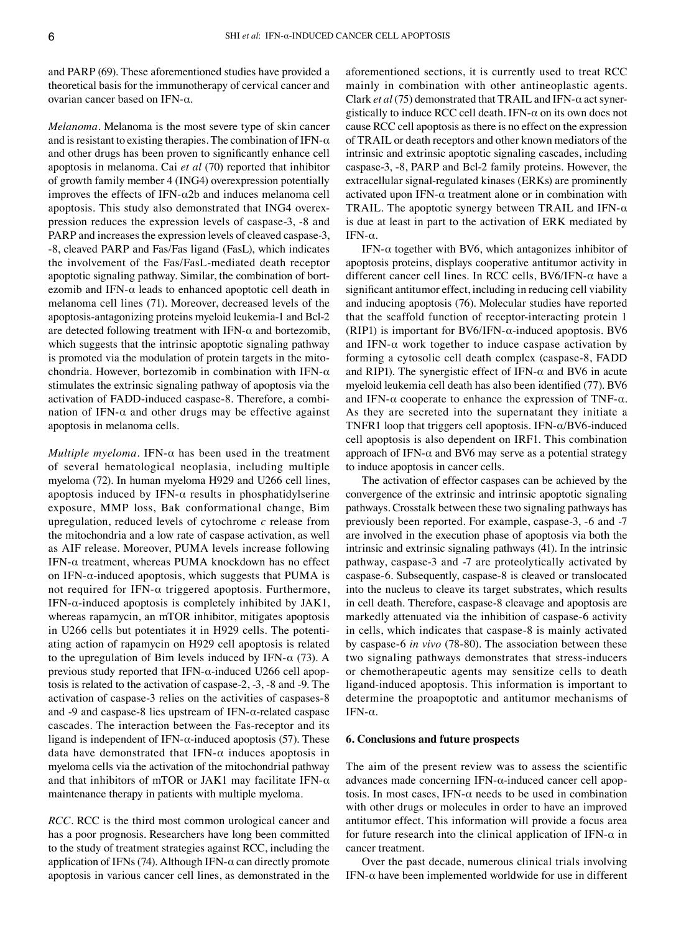and PARP (69). These aforementioned studies have provided a theoretical basis for the immunotherapy of cervical cancer and ovarian cancer based on IFN‑α.

*Melanoma.* Melanoma is the most severe type of skin cancer and is resistant to existing therapies. The combination of IFN- $\alpha$ and other drugs has been proven to significantly enhance cell apoptosis in melanoma. Cai *et al* (70) reported that inhibitor of growth family member 4 (ING4) overexpression potentially improves the effects of IFN- $\alpha$ 2b and induces melanoma cell apoptosis. This study also demonstrated that ING4 overexpression reduces the expression levels of caspase‑3, ‑8 and PARP and increases the expression levels of cleaved caspase-3, ‑8, cleaved PARP and Fas/Fas ligand (FasL), which indicates the involvement of the Fas/FasL‑mediated death receptor apoptotic signaling pathway. Similar, the combination of bortezomib and IFN- $\alpha$  leads to enhanced apoptotic cell death in melanoma cell lines (71). Moreover, decreased levels of the apoptosis‑antagonizing proteins myeloid leukemia‑1 and Bcl‑2 are detected following treatment with IFN- $\alpha$  and bortezomib, which suggests that the intrinsic apoptotic signaling pathway is promoted via the modulation of protein targets in the mitochondria. However, bortezomib in combination with IFN- $\alpha$ stimulates the extrinsic signaling pathway of apoptosis via the activation of FADD-induced caspase-8. Therefore, a combination of IFN- $\alpha$  and other drugs may be effective against apoptosis in melanoma cells.

*Multiple myeloma.* IFN-α has been used in the treatment of several hematological neoplasia, including multiple myeloma (72). In human myeloma H929 and U266 cell lines, apoptosis induced by IFN- $\alpha$  results in phosphatidylserine exposure, MMP loss, Bak conformational change, Bim upregulation, reduced levels of cytochrome *c* release from the mitochondria and a low rate of caspase activation, as well as AIF release. Moreover, PUMA levels increase following IFN- $\alpha$  treatment, whereas PUMA knockdown has no effect on IFN- $\alpha$ -induced apoptosis, which suggests that PUMA is not required for IFN- $α$  triggered apoptosis. Furthermore, IFN- $\alpha$ -induced apoptosis is completely inhibited by JAK1, whereas rapamycin, an mTOR inhibitor, mitigates apoptosis in U266 cells but potentiates it in H929 cells. The potentiating action of rapamycin on H929 cell apoptosis is related to the upregulation of Bim levels induced by IFN- $\alpha$  (73). A previous study reported that IFN- $\alpha$ -induced U266 cell apoptosis is related to the activation of caspase‑2, ‑3, ‑8 and ‑9. The activation of caspase‑3 relies on the activities of caspases‑8 and  $-9$  and caspase-8 lies upstream of IFN- $\alpha$ -related caspase cascades. The interaction between the Fas‑receptor and its ligand is independent of IFN- $\alpha$ -induced apoptosis (57). These data have demonstrated that IFN- $\alpha$  induces apoptosis in myeloma cells via the activation of the mitochondrial pathway and that inhibitors of mTOR or JAK1 may facilitate IFN- $\alpha$ maintenance therapy in patients with multiple myeloma.

*RCC.* RCC is the third most common urological cancer and has a poor prognosis. Researchers have long been committed to the study of treatment strategies against RCC, including the application of IFNs (74). Although IFN- $\alpha$  can directly promote apoptosis in various cancer cell lines, as demonstrated in the aforementioned sections, it is currently used to treat RCC mainly in combination with other antineoplastic agents. Clark *et al* (75) demonstrated that TRAIL and IFN‑α act syner‑ gistically to induce RCC cell death. IFN- $\alpha$  on its own does not cause RCC cell apoptosis as there is no effect on the expression of TRAIL or death receptors and other known mediators of the intrinsic and extrinsic apoptotic signaling cascades, including caspase‑3, ‑8, PARP and Bcl‑2 family proteins. However, the extracellular signal-regulated kinases (ERKs) are prominently activated upon IFN- $\alpha$  treatment alone or in combination with TRAIL. The apoptotic synergy between TRAIL and IFN- $\alpha$ is due at least in part to the activation of ERK mediated by IFN- $α$ .

IFN- $\alpha$  together with BV6, which antagonizes inhibitor of apoptosis proteins, displays cooperative antitumor activity in different cancer cell lines. In RCC cells,  $BV6/IFN-\alpha$  have a significant antitumor effect, including in reducing cell viability and inducing apoptosis (76). Molecular studies have reported that the scaffold function of receptor‑interacting protein 1 (RIP1) is important for BV6/IFN- $\alpha$ -induced apoptosis. BV6 and IFN- $\alpha$  work together to induce caspase activation by forming a cytosolic cell death complex (caspase‑8, FADD and RIP1). The synergistic effect of IFN- $\alpha$  and BV6 in acute myeloid leukemia cell death has also been identified (77). BV6 and IFN- $\alpha$  cooperate to enhance the expression of TNF- $\alpha$ . As they are secreted into the supernatant they initiate a TNFR1 loop that triggers cell apoptosis. IFN‑α/BV6‑induced cell apoptosis is also dependent on IRF1. This combination approach of IFN- $\alpha$  and BV6 may serve as a potential strategy to induce apoptosis in cancer cells.

The activation of effector caspases can be achieved by the convergence of the extrinsic and intrinsic apoptotic signaling pathways. Crosstalk between these two signaling pathways has previously been reported. For example, caspase‑3, ‑6 and ‑7 are involved in the execution phase of apoptosis via both the intrinsic and extrinsic signaling pathways (41). In the intrinsic pathway, caspase‑3 and ‑7 are proteolytically activated by caspase‑6. Subsequently, caspase‑8 is cleaved or translocated into the nucleus to cleave its target substrates, which results in cell death. Therefore, caspase-8 cleavage and apoptosis are markedly attenuated via the inhibition of caspase‑6 activity in cells, which indicates that caspase-8 is mainly activated by caspase‑6 *in vivo* (78‑80). The association between these two signaling pathways demonstrates that stress-inducers or chemotherapeutic agents may sensitize cells to death ligand‑induced apoptosis. This information is important to determine the proapoptotic and antitumor mechanisms of IFN- $α$ .

## **6. Conclusions and future prospects**

The aim of the present review was to assess the scientific advances made concerning IFN- $\alpha$ -induced cancer cell apoptosis. In most cases, IFN- $\alpha$  needs to be used in combination with other drugs or molecules in order to have an improved antitumor effect. This information will provide a focus area for future research into the clinical application of IFN- $\alpha$  in cancer treatment.

Over the past decade, numerous clinical trials involving IFN- $\alpha$  have been implemented worldwide for use in different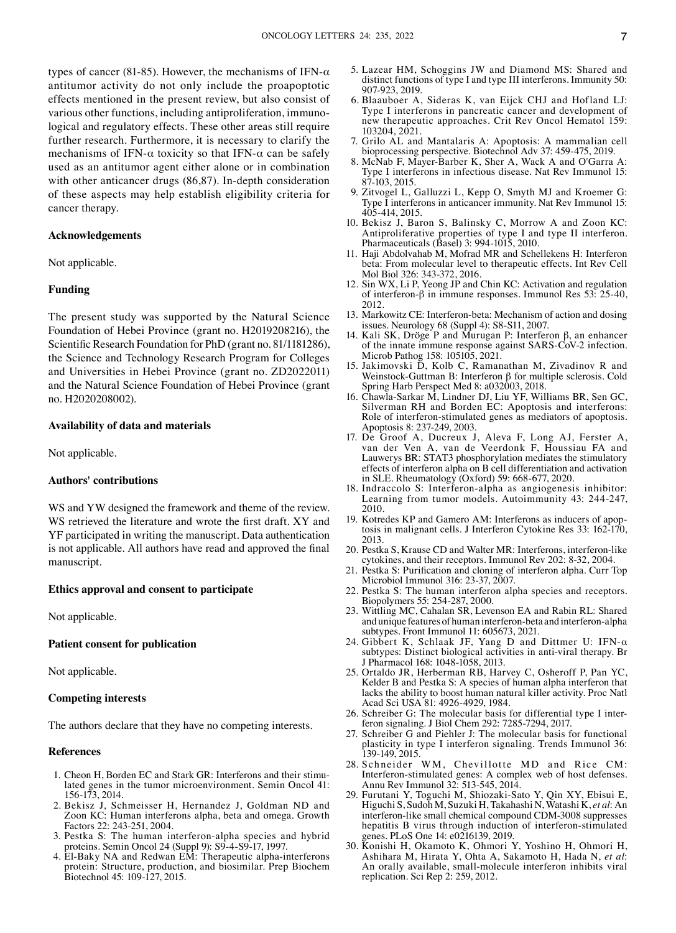types of cancer (81-85). However, the mechanisms of IFN- $α$ antitumor activity do not only include the proapoptotic effects mentioned in the present review, but also consist of various other functions, including antiproliferation, immunological and regulatory effects. These other areas still require further research. Furthermore, it is necessary to clarify the mechanisms of IFN- $\alpha$  toxicity so that IFN- $\alpha$  can be safely used as an antitumor agent either alone or in combination with other anticancer drugs (86,87). In-depth consideration of these aspects may help establish eligibility criteria for cancer therapy.

# **Acknowledgements**

Not applicable.

# **Funding**

The present study was supported by the Natural Science Foundation of Hebei Province (grant no. H2019208216), the Scientific Research Foundation for PhD (grant no. 81/1181286), the Science and Technology Research Program for Colleges and Universities in Hebei Province (grant no. ZD2022011) and the Natural Science Foundation of Hebei Province (grant no. H2020208002).

#### **Availability of data and materials**

Not applicable.

#### **Authors' contributions**

WS and YW designed the framework and theme of the review. WS retrieved the literature and wrote the first draft. XY and YF participated in writing the manuscript. Data authentication is not applicable. All authors have read and approved the final manuscript.

#### **Ethics approval and consent to participate**

Not applicable.

### **Patient consent for publication**

Not applicable.

#### **Competing interests**

The authors declare that they have no competing interests.

#### **References**

- 1. Cheon H, Borden EC and Stark GR: Interferons and their stimulated genes in the tumor microenvironment. Semin Oncol 41: 156‑173, 2014.
- 2. Bekisz J, Schmeisser H, Hernandez J, Goldman ND and Zoon KC: Human interferons alpha, beta and omega. Growth Factors 22: 243‑251, 2004.
- 3. Pestka S: The human interferon‑alpha species and hybrid proteins. Semin Oncol 24 (Suppl 9): S9‑4‑S9‑17, 1997.
- 4. El‑Baky NA and Redwan EM: Therapeutic alpha‑interferons protein: Structure, production, and biosimilar. Prep Biochem Biotechnol 45: 109‑127, 2015.
- 5. Lazear HM, Schoggins JW and Diamond MS: Shared and distinct functions of type I and type III interferons. Immunity 50: 907‑923, 2019.
- 6. Blaauboer A, Sideras K, van Eijck CHJ and Hofland LJ: Type I interferons in pancreatic cancer and development of new therapeutic approaches. Crit Rev Oncol Hematol 159: 103204, 2021.
- 7. Grilo AL and Mantalaris A: Apoptosis: A mammalian cell bioprocessing perspective. Biotechnol Adv 37: 459‑475, 2019.
- 8. McNab F, Mayer‑Barber K, Sher A, Wack A and O'Garra A: Type I interferons in infectious disease. Nat Rev Immunol 15: 87‑103, 2015.
- 9. Zitvogel L, Galluzzi L, Kepp O, Smyth MJ and Kroemer G: Type I interferons in anticancer immunity. Nat Rev Immunol 15: 405‑414, 2015.
- 10. Bekisz J, Baron S, Balinsky C, Morrow A and Zoon KC: Antiproliferative properties of type I and type II interferon. Pharmaceuticals (Basel) 3: 994‑1015, 2010.
- 11. Haji Abdolvahab M, Mofrad MR and Schellekens H: Interferon beta: From molecular level to therapeutic effects. Int Rev Cell Mol Biol 326: 343‑372, 2016.
- 12. Sin WX, Li P, Yeong JP and Chin KC: Activation and regulation of interferon‑β in immune responses. Immunol Res 53: 25‑40, 2012.
- 13. Markowitz CE: Interferon‑beta: Mechanism of action and dosing issues. Neurology 68 (Suppl 4): S8‑S11, 2007.
- 14. Kali SK, Dröge P and Murugan P: Interferon β, an enhancer of the innate immune response against SARS‑CoV‑2 infection. Microb Pathog 158: 105105, 2021.
- 15. Jakimovski D, Kolb C, Ramanathan M, Zivadinov R and Weinstock‑Guttman B: Interferon β for multiple sclerosis. Cold Spring Harb Perspect Med 8: a032003, 2018.
- 16. Chawla‑Sarkar M, Lindner DJ, Liu YF, Williams BR, Sen GC, Silverman RH and Borden EC: Apoptosis and interferons: Role of interferon-stimulated genes as mediators of apoptosis. Apoptosis 8: 237‑249, 2003.
- 17. De Groof A, Ducreux J, Aleva F, Long AJ, Ferster A, van der Ven A, van de Veerdonk F, Houssiau FA and Lauwerys BR: STAT3 phosphorylation mediates the stimulatory effects of interferon alpha on B cell differentiation and activation in SLE. Rheumatology (Oxford) 59: 668‑677, 2020.
- 18. Indraccolo S: Interferon‑alpha as angiogenesis inhibitor: Learning from tumor models. Autoimmunity 43: 244‑247, 2010.
- 19. Kotredes KP and Gamero AM: Interferons as inducers of apoptosis in malignant cells. J Interferon Cytokine Res 33: 162-170, 2013.
- 20. Pestka S, Krause CD and Walter MR: Interferons, interferon-like cytokines, and their receptors. Immunol Rev 202: 8‑32, 2004.
- 21. Pestka S: Purification and cloning of interferon alpha. Curr Top Microbiol Immunol 316: 23‑37, 2007.
- 22. Pestka S: The human interferon alpha species and receptors. Biopolymers 55: 254‑287, 2000.
- 23. Wittling MC, Cahalan SR, Levenson EA and Rabin RL: Shared and unique features of human interferon‑beta and interferon‑alpha subtypes. Front Immunol 11: 605673, 2021.
- 24. Gibbert K, Schlaak JF, Yang D and Dittmer U: IFN‑α subtypes: Distinct biological activities in anti-viral therapy. Br J Pharmacol 168: 1048‑1058, 2013.
- 25. Ortaldo JR, Herberman RB, Harvey C, Osheroff P, Pan YC, Kelder B and Pestka S: A species of human alpha interferon that lacks the ability to boost human natural killer activity. Proc Natl Acad Sci USA 81: 4926‑4929, 1984.
- 26. Schreiber G: The molecular basis for differential type I interferon signaling. J Biol Chem 292: 7285‑7294, 2017.
- 27. Schreiber G and Piehler J: The molecular basis for functional plasticity in type I interferon signaling. Trends Immunol 36: 139‑149, 2015.
- 28. Schneider WM, Chevillotte MD and Rice CM: Interferon-stimulated genes: A complex web of host defenses. Annu Rev Immunol 32: 513‑545, 2014.
- 29. Furutani Y, Toguchi M, Shiozaki‑Sato Y, Qin XY, Ebisui E, Higuchi S, Sudoh M, Suzuki H, Takahashi N, Watashi K, *et al*: An interferon-like small chemical compound CDM-3008 suppresses hepatitis B virus through induction of interferon-stimulated genes. PLoS One 14: e0216139, 2019.
- 30. Konishi H, Okamoto K, Ohmori Y, Yoshino H, Ohmori H, Ashihara M, Hirata Y, Ohta A, Sakamoto H, Hada N, *et al*: An orally available, small-molecule interferon inhibits viral replication. Sci Rep 2: 259, 2012.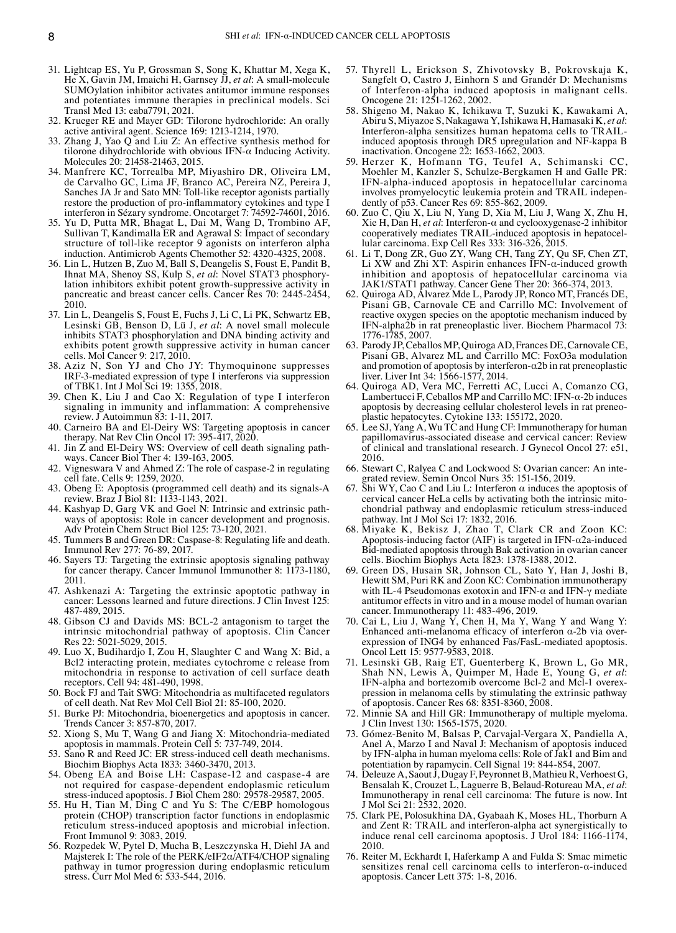- 31. Lightcap ES, Yu P, Grossman S, Song K, Khattar M, Xega K, He X, Gavin JM, Imaichi H, Garnsey JJ, *et al*: A small‑molecule SUMOylation inhibitor activates antitumor immune responses and potentiates immune therapies in preclinical models. Sci Transl Med 13: eaba7791, 2021.
- 32. Krueger RE and Mayer GD: Tilorone hydrochloride: An orally active antiviral agent. Science 169: 1213‑1214, 1970.
- 33. Zhang J, Yao Q and Liu Z: An effective synthesis method for tilorone dihydrochloride with obvious IFN- $\alpha$  Inducing Activity. Molecules 20: 21458‑21463, 2015.
- 34. Manfrere KC, Torrealba MP, Miyashiro DR, Oliveira LM, de Carvalho GC, Lima JF, Branco AC, Pereira NZ, Pereira J, Sanches JA Jr and Sato MN: Toll-like receptor agonists partially restore the production of pro-inflammatory cytokines and type I interferon in Sézary syndrome. Oncotarget 7: 74592‑74601, 2016.
- 35. Yu D, Putta MR, Bhagat L, Dai M, Wang D, Trombino AF, Sullivan T, Kandimalla ER and Agrawal S: Impact of secondary structure of toll-like receptor 9 agonists on interferon alpha induction. Antimicrob Agents Chemother 52: 4320-4325, 2008.
- 36. Lin L, Hutzen B, Zuo M, Ball S, Deangelis S, Foust E, Pandit B, Ihnat MA, Shenoy SS, Kulp S, *et al*: Novel STAT3 phosphory‑ lation inhibitors exhibit potent growth‑suppressive activity in pancreatic and breast cancer cells. Cancer Res 70: 2445-2454, 2010.
- 37. Lin L, Deangelis S, Foust E, Fuchs J, Li C, Li PK, Schwartz EB, Lesinski GB, Benson D, Lü J, *et al*: A novel small molecule inhibits STAT3 phosphorylation and DNA binding activity and exhibits potent growth suppressive activity in human cancer cells. Mol Cancer 9: 217, 2010.
- Aziz N, Son YJ and Cho JY: Thymoquinone suppresses IRF‑3‑mediated expression of type I interferons via suppression of TBK1. Int J Mol Sci 19: 1355, 2018.
- 39. Chen K, Liu J and Cao X: Regulation of type I interferon signaling in immunity and inflammation: A comprehensive review. J Autoimmun 83: 1‑11, 2017.
- 40. Carneiro BA and El-Deiry WS: Targeting apoptosis in cancer therapy. Nat Rev Clin Oncol 17: 395‑417, 2020.
- 41. Jin Z and El-Deiry WS: Overview of cell death signaling path– ways. Cancer Biol Ther 4: 139‑163, 2005.
- 42. Vigneswara V and Ahmed Z: The role of caspase‑2 in regulating cell fate. Cells 9: 1259, 2020.
- 43. Obeng E: Apoptosis (programmed cell death) and its signals‑A review. Braz J Biol 81: 1133‑1143, 2021.
- 44. Kashyap D, Garg VK and Goel N: Intrinsic and extrinsic pathways of apoptosis: Role in cancer development and prognosis. Adv Protein Chem Struct Biol 125: 73‑120, 2021.
- 45. Tummers B and Green DR: Caspase‑8: Regulating life and death. Immunol Rev 277: 76‑89, 2017.
- 46. Sayers TJ: Targeting the extrinsic apoptosis signaling pathway for cancer therapy. Cancer Immunol Immunother 8: 1173-1180, 2011.
- 47. Ashkenazi A: Targeting the extrinsic apoptotic pathway in cancer: Lessons learned and future directions. J Clin Invest 125: 487‑489, 2015.
- 48. Gibson CJ and Davids MS: BCL‑2 antagonism to target the intrinsic mitochondrial pathway of apoptosis. Clin Cancer Res 22: 5021‑5029, 2015.
- 49. Luo X, Budihardjo I, Zou H, Slaughter C and Wang X: Bid, a Bcl2 interacting protein, mediates cytochrome c release from mitochondria in response to activation of cell surface death receptors. Cell 94: 481‑490, 1998.
- 50. Bock FJ and Tait SWG: Mitochondria as multifaceted regulators of cell death. Nat Rev Mol Cell Biol 21: 85‑100, 2020.
- 51. Burke PJ: Mitochondria, bioenergetics and apoptosis in cancer. Trends Cancer 3: 857‑870, 2017.
- 52. Xiong S, Mu T, Wang G and Jiang X: Mitochondria‑mediated apoptosis in mammals. Protein Cell 5: 737‑749, 2014.
- 53. Sano R and Reed JC: ER stress‑induced cell death mechanisms. Biochim Biophys Acta 1833: 3460‑3470, 2013.
- 54. Obeng EA and Boise LH: Caspase‑12 and caspase‑4 are not required for caspase‑dependent endoplasmic reticulum stress‑induced apoptosis. J Biol Chem 280: 29578‑29587, 2005.
- 55. Hu H, Tian M, Ding C and Yu S: The C/EBP homologous protein (CHOP) transcription factor functions in endoplasmic reticulum stress‑induced apoptosis and microbial infection. Front Immunol 9: 3083, 2019.
- 56. Rozpedek W, Pytel D, Mucha B, Leszczynska H, Diehl JA and Majsterek I: The role of the PERK/eIF2α/ATF4/CHOP signaling pathway in tumor progression during endoplasmic reticulum stress. Curr Mol Med 6: 533‑544, 2016.
- 57. Thyrell L, Erickson S, Zhivotovsky B, Pokrovskaja K, Sangfelt O, Castro J, Einhorn S and Grandér D: Mechanisms of Interferon‑alpha induced apoptosis in malignant cells. Oncogene 21: 1251‑1262, 2002.
- 58. Shigeno M, Nakao K, Ichikawa T, Suzuki K, Kawakami A, Abiru S, Miyazoe S, Nakagawa Y, Ishikawa H, Hamasaki K, *et al*: Interferon‑alpha sensitizes human hepatoma cells to TRAILinduced apoptosis through DR5 upregulation and NF‑kappa B inactivation. Oncogene 22: 1653‑1662, 2003.
- 59. Herzer K, Hofmann TG, Teufel A, Schimanski CC, Moehler M, Kanzler S, Schulze‑Bergkamen H and Galle PR: IFN‑alpha‑induced apoptosis in hepatocellular carcinoma involves promyelocytic leukemia protein and TRAIL independently of p53. Cancer Res 69: 855-862, 2009.
- 60. Zuo C, Qiu X, Liu N, Yang D, Xia M, Liu J, Wang X, Zhu H, Xie H, Dan H, *et al*: Interferon‑α and cyclooxygenase‑2 inhibitor cooperatively mediates TRAIL-induced apoptosis in hepatocellular carcinoma. Exp Cell Res 333: 316‑326, 2015.
- 61. Li T, Dong ZR, Guo ZY, Wang CH, Tang ZY, Qu SF, Chen ZT, Li XW and Zhi XT: Aspirin enhances IFN‑α‑induced growth inhibition and apoptosis of hepatocellular carcinoma via JAK1/STAT1 pathway. Cancer Gene Ther 20: 366‑374, 2013.
- 62. Quiroga AD, Alvarez Mde L, Parody JP, Ronco MT, Francés DE, Pisani GB, Carnovale CE and Carrillo MC: Involvement of reactive oxygen species on the apoptotic mechanism induced by IFN‑alpha2b in rat preneoplastic liver. Biochem Pharmacol 73: 1776‑1785, 2007.
- 63. Parody JP, Ceballos MP, Quiroga AD, Frances DE, CarnovaleCE, Pisani GB, Alvarez ML and Carrillo MC: FoxO3a modulation and promotion of apoptosis by interferon- $\alpha$ 2b in rat preneoplastic liver. Liver Int 34: 1566‑1577, 2014.
- 64. Quiroga AD, Vera MC, Ferretti AC, Lucci A, Comanzo CG, Lambertucci F, Ceballos MP and Carrillo MC: IFN- $\alpha$ -2b induces apoptosis by decreasing cellular cholesterol levels in rat preneoplastic hepatocytes. Cytokine 133: 155172, 2020.
- 65. Lee SJ, Yang A, Wu TC and Hung CF: Immunotherapy for human papillomavirus‑associated disease and cervical cancer: Review of clinical and translational research. J Gynecol Oncol 27: e51, 2016.
- 66. Stewart C, Ralyea C and Lockwood S: Ovarian cancer: An inte‑ grated review. Semin Oncol Nurs 35: 151‑156, 2019.
- 67. Shi WY, Cao C and Liu L: Interferon α induces the apoptosis of cervical cancer HeLa cells by activating both the intrinsic mitochondrial pathway and endoplasmic reticulum stress‑induced pathway. Int J Mol Sci 17: 1832, 2016.
- 68. Miyake K, Bekisz J, Zhao T, Clark CR and Zoon KC: Apoptosis-inducing factor (AIF) is targeted in IFN- $\alpha$ 2a-induced Bid‑mediated apoptosis through Bak activation in ovarian cancer cells. Biochim Biophys Acta 1823: 1378‑1388, 2012.
- 69. Green DS, Husain SR, Johnson CL, Sato Y, Han J, Joshi B, Hewitt SM, Puri RK and Zoon KC: Combination immunotherapy with IL-4 Pseudomonas exotoxin and IFN- $\alpha$  and IFN-γ mediate antitumor effects in vitro and in a mouse model of human ovarian cancer. Immunotherapy 11: 483‑496, 2019.
- 70. Cai L, Liu J, Wang Y, Chen H, Ma Y, Wang Y and Wang Y: Enhanced anti-melanoma efficacy of interferon  $\alpha$ -2b via overexpression of ING4 by enhanced Fas/FasL‑mediated apoptosis. Oncol Lett 15: 9577‑9583, 2018.
- 71. Lesinski GB, Raig ET, Guenterberg K, Brown L, Go MR, Shah NN, Lewis A, Quimper M, Hade E, Young G, *et al*: IFN-alpha and bortezomib overcome Bcl-2 and Mcl-1 overexpression in melanoma cells by stimulating the extrinsic pathway of apoptosis. Cancer Res 68: 8351‑8360, 2008.
- 72. Minnie SA and Hill GR: Immunotherapy of multiple myeloma. J Clin Invest 130: 1565‑1575, 2020.
- 73. Gómez‑Benito M, Balsas P, Carvajal‑Vergara X, Pandiella A, Anel A, Marzo I and Naval J: Mechanism of apoptosis induced by IFN‑alpha in human myeloma cells: Role of Jak1 and Bim and potentiation by rapamycin. Cell Signal 19: 844‑854, 2007.
- 74. Deleuze A, Saout J, Dugay F, Peyronnet B, Mathieu R, Verhoest G, Bensalah K, Crouzet L, Laguerre B, Belaud‑Rotureau MA, *et al*: Immunotherapy in renal cell carcinoma: The future is now. Int J Mol Sci 21: 2532, 2020.
- 75. Clark PE, Polosukhina DA, Gyabaah K, Moses HL, Thorburn A and Zent R: TRAIL and interferon‑alpha act synergistically to induce renal cell carcinoma apoptosis. J Urol 184: 1166‑1174, 2010.
- 76. Reiter M, Eckhardt I, Haferkamp A and Fulda S: Smac mimetic sensitizes renal cell carcinoma cells to interferon- $\alpha$ -induced apoptosis. Cancer Lett 375: 1‑8, 2016.